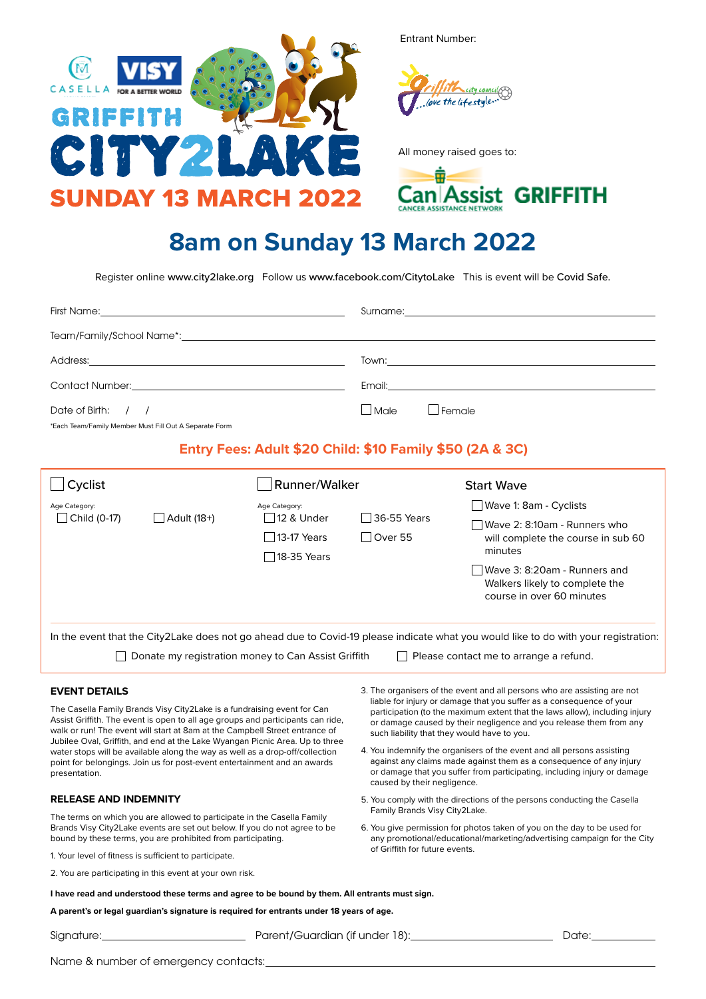

Entrant Number:



All money raised goes to:



## **8am on Sunday 13 March 2022**

Register online www.city2lake.org Follow us www.facebook.com/CitytoLake This is event will be Covid Safe.

|                                                          | Surname: <u>2000 magazine and the series of the series of the series of the series of the series of the series of the series of the series of the series of the series of the series of the series of the series of the series o</u> |  |  |  |
|----------------------------------------------------------|--------------------------------------------------------------------------------------------------------------------------------------------------------------------------------------------------------------------------------------|--|--|--|
|                                                          |                                                                                                                                                                                                                                      |  |  |  |
|                                                          |                                                                                                                                                                                                                                      |  |  |  |
|                                                          |                                                                                                                                                                                                                                      |  |  |  |
| Date of Birth: $/$ /                                     | $\Box$ Female<br><i>I</i> JMale                                                                                                                                                                                                      |  |  |  |
| *Each Team/Family Member Must Fill Out A Separate Form   |                                                                                                                                                                                                                                      |  |  |  |
| Entry Fees: Adult \$20 Child: \$10 Family \$50 (2A & 3C) |                                                                                                                                                                                                                                      |  |  |  |

| Cyclist                                                                                                                                                                                                                                                                                                                                                                                                                                                                                                |                                                                                    | <b>Runner/Walker</b>                                                                                                                                                                                                                                                     |                                                          | <b>Start Wave</b>                                                                           |  |
|--------------------------------------------------------------------------------------------------------------------------------------------------------------------------------------------------------------------------------------------------------------------------------------------------------------------------------------------------------------------------------------------------------------------------------------------------------------------------------------------------------|------------------------------------------------------------------------------------|--------------------------------------------------------------------------------------------------------------------------------------------------------------------------------------------------------------------------------------------------------------------------|----------------------------------------------------------|---------------------------------------------------------------------------------------------|--|
| Age Category:                                                                                                                                                                                                                                                                                                                                                                                                                                                                                          | Age Category:<br>$\Box$ Child (0-17)<br>Adult (18+)<br>□ 12 & Under<br>13-17 Years |                                                                                                                                                                                                                                                                          | Wave 1: 8am - Cyclists                                   |                                                                                             |  |
|                                                                                                                                                                                                                                                                                                                                                                                                                                                                                                        |                                                                                    | □ 18-35 Years                                                                                                                                                                                                                                                            | □ 36-55 Years<br>Over 55                                 | Wave 2: 8:10am - Runners who<br>will complete the course in sub 60<br>minutes               |  |
|                                                                                                                                                                                                                                                                                                                                                                                                                                                                                                        |                                                                                    |                                                                                                                                                                                                                                                                          |                                                          | Wave 3: 8:20am - Runners and<br>Walkers likely to complete the<br>course in over 60 minutes |  |
| In the event that the City2Lake does not go ahead due to Covid-19 please indicate what you would like to do with your registration:<br>Donate my registration money to Can Assist Griffith<br>Please contact me to arrange a refund.                                                                                                                                                                                                                                                                   |                                                                                    |                                                                                                                                                                                                                                                                          |                                                          |                                                                                             |  |
| 3. The organisers of the event and all persons who are assisting are not<br><b>EVENT DETAILS</b>                                                                                                                                                                                                                                                                                                                                                                                                       |                                                                                    |                                                                                                                                                                                                                                                                          |                                                          |                                                                                             |  |
| The Casella Family Brands Visy City2Lake is a fundraising event for Can<br>Assist Griffith. The event is open to all age groups and participants can ride,<br>walk or run! The event will start at 8am at the Campbell Street entrance of<br>Jubilee Oval, Griffith, and end at the Lake Wyangan Picnic Area. Up to three<br>water stops will be available along the way as well as a drop-off/collection<br>point for belongings. Join us for post-event entertainment and an awards<br>presentation. |                                                                                    | liable for injury or damage that you suffer as a consequence of your<br>participation (to the maximum extent that the laws allow), including injury<br>or damage caused by their negligence and you release them from any<br>such liability that they would have to you. |                                                          |                                                                                             |  |
|                                                                                                                                                                                                                                                                                                                                                                                                                                                                                                        |                                                                                    | 4. You indemnify the organisers of the event and all persons assisting<br>against any claims made against them as a consequence of any injury<br>or damage that you suffer from participating, including injury or damage<br>caused by their negligence.                 |                                                          |                                                                                             |  |
| <b>RELEASE AND INDEMNITY</b><br>The terms on which you are allowed to participate in the Casella Family<br>Brands Visy City2Lake events are set out below. If you do not agree to be<br>bound by these terms, you are prohibited from participating.<br>1. Your level of fitness is sufficient to participate.                                                                                                                                                                                         |                                                                                    | 5. You comply with the directions of the persons conducting the Casella<br>Family Brands Visy City2Lake.<br>6. You give permission for photos taken of you on the day to be used for<br>any promotional/educational/marketing/advertising campaign for the City          |                                                          |                                                                                             |  |
|                                                                                                                                                                                                                                                                                                                                                                                                                                                                                                        |                                                                                    |                                                                                                                                                                                                                                                                          |                                                          | of Griffith for future events.                                                              |  |
|                                                                                                                                                                                                                                                                                                                                                                                                                                                                                                        |                                                                                    |                                                                                                                                                                                                                                                                          | 2. You are participating in this event at your own risk. |                                                                                             |  |
| I have read and understood these terms and agree to be bound by them. All entrants must sign.                                                                                                                                                                                                                                                                                                                                                                                                          |                                                                                    |                                                                                                                                                                                                                                                                          |                                                          |                                                                                             |  |

**A parent's or legal guardian's signature is required for entrants under 18 years of age.**

Signature: Date: Parent/Guardian (if under 18): Date: Date:

Name & number of emergency contacts: